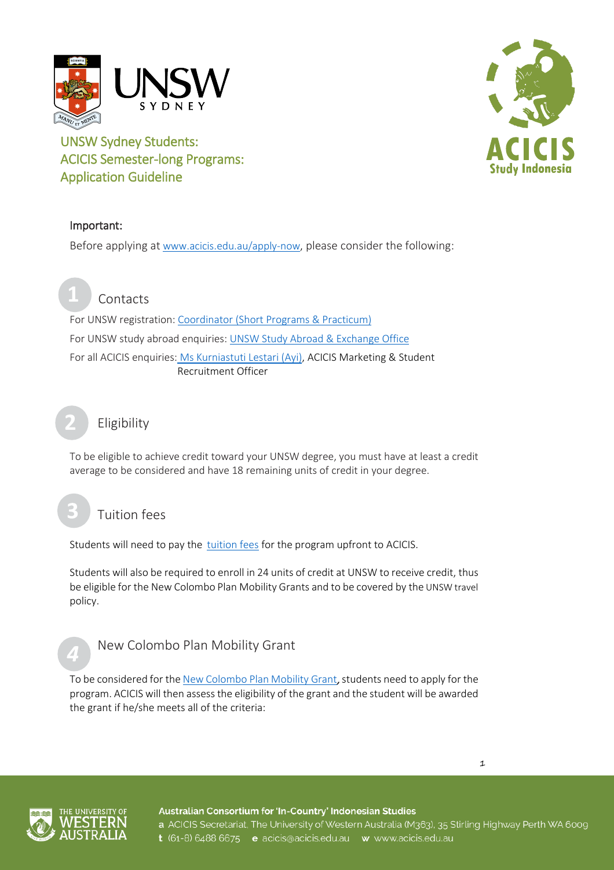

# **Study Indonesia**

# UNSW Sydney Students: ACICIS Semester-long Programs: Application Guideline

## Important:

Before applying at [www.acicis.edu.au/apply-now,](http://www.acicis.edu.au/apply-now) please consider the following:

**Contacts** 

For UNSW registration: [Coordinator \(Short Programs & Practicum\)](mailto:advisor4globaled@unsw.edu.au) For UNSW study abroad enquiries[: UNSW Study Abroad & Exchange Office](https://student.unsw.edu.au/globaloffice) For all ACICIS enquiries: [Ms Kurniastuti Lestari \(Ayi\),](mailto:k.lestari@acicis.edu.au) ACICIS Marketing & Student Recruitment Officer

Eligibility

To be eligible to achieve credit toward your UNSW degree, you must have at least a credit average to be considered and have 18 remaining units of credit in your degree.

Tuition fees

Students will need to pay the [tuition fees](http://www.acicis.edu.au/programs/semester/costs/) for the program upfront to ACICIS.

Students will also be required to enroll in 24 units of credit at UNSW to receive credit, thus be eligible for the New Colombo Plan Mobility Grants and to be covered by the UNSW travel policy.



**2**

# New Colombo Plan Mobility Grant

To be considered for th[e New Colombo Plan Mobility Grant](http://www.acicis.edu.au/study-in-indonesia/acicis-new-colombo-plan-mobility-program-funding/), students need to apply for the program. ACICIS will then assess the eligibility of the grant and the student will be awarded the grant if he/she meets all of the criteria:





Australian Consortium for 'In-Country' Indonesian Studies a ACICIS Secretariat, The University of Western Australia (M363), 35 Stirling Highway Perth WA 6009 t (61-8) 6488 6675 e acicis@acicis.edu.au w www.acicis.edu.au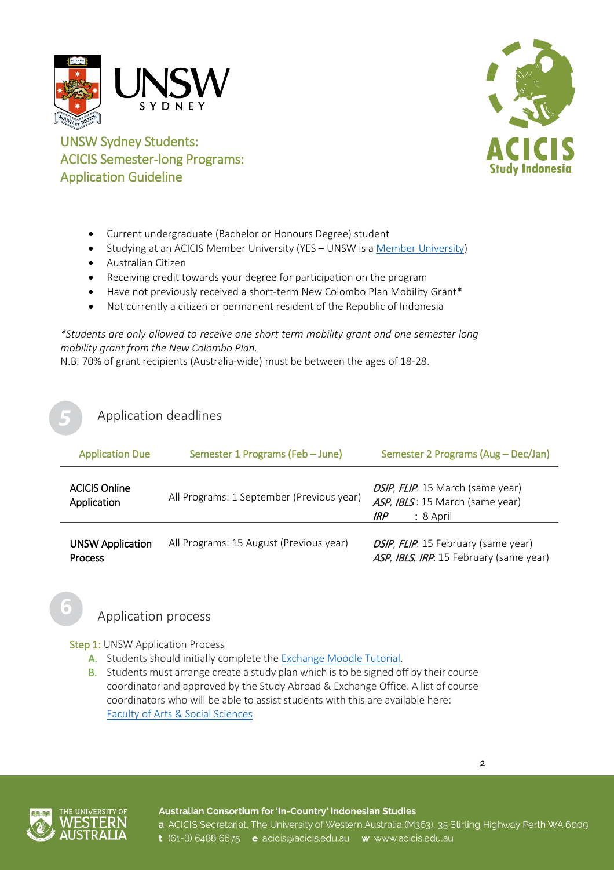



UNSW Sydney Students: ACICIS Semester-long Programs: Application Guideline

- Current undergraduate (Bachelor or Honours Degree) student
- Studying at an ACICIS Member University (YES UNSW is [a Member University\)](https://www.acicis.edu.au/universities/member/)
- Australian Citizen
- Receiving credit towards your degree for participation on the program
- Have not previously received a short-term New Colombo Plan Mobility Grant\*
- Not currently a citizen or permanent resident of the Republic of Indonesia

*\*Students are only allowed to receive one short term mobility grant and one semester long mobility grant from the New Colombo Plan.*

N.B. 70% of grant recipients (Australia-wide) must be between the ages of 18-28.

### Application deadlines

| <b>Application Due</b>                    | Semester 1 Programs (Feb - June)          | Semester 2 Programs (Aug - Dec/Jan)                                                     |
|-------------------------------------------|-------------------------------------------|-----------------------------------------------------------------------------------------|
| <b>ACICIS Online</b><br>Application       | All Programs: 1 September (Previous year) | DSIP, FLIP. 15 March (same year)<br>ASP, IBLS: 15 March (same year)<br>: 8 April<br>IRP |
| <b>UNSW Application</b><br><b>Process</b> | All Programs: 15 August (Previous year)   | DSIP, FLIP. 15 February (same year)<br>ASP, IBLS, IRP. 15 February (same year)          |

## Application process

Step 1: UNSW Application Process

- A. Students should initially complete th[e Exchange Moodle Tutorial.](https://moodle.telt.unsw.edu.au/enrol/index.php?id=1668)
- B. Students must arrange create a study plan which is to be signed off by their course coordinator and approved by the Study Abroad & Exchange Office. A list of course coordinators who will be able to assist students with this are available here: [Faculty of Arts & Social Sciences](https://www.arts.unsw.edu.au/current-students/student-resources/key-contacts/ug-convenors/)





Australian Consortium for 'In-Country' Indonesian Studies a ACICIS Secretariat, The University of Western Australia (M363), 35 Stirling Highway Perth WA 6009 t (61-8) 6488 6675 e acicis@acicis.edu.au w www.acicis.edu.au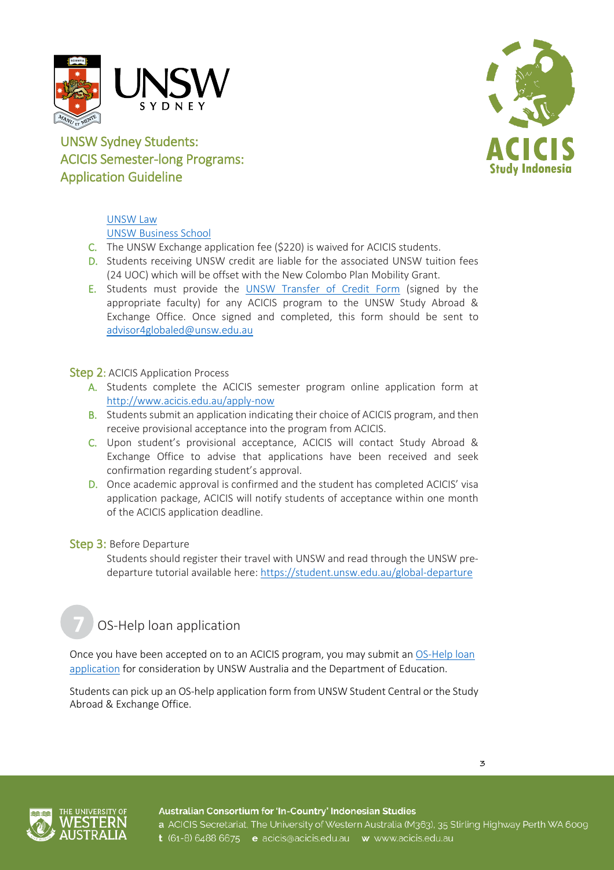



# UNSW Sydney Students: ACICIS Semester-long Programs: Application Guideline

# [UNSW Law](https://law.unsw.edu.au/students/useful-contacts)

[UNSW Business School](https://www.business.unsw.edu.au/students/howcanwehelp/student-centre/program-coordinators)

- C. The UNSW Exchange application fee (\$220) is waived for ACICIS students.
- D. Students receiving UNSW credit are liable for the associated UNSW tuition fees (24 UOC) which will be offset with the New Colombo Plan Mobility Grant.
- E. Students must provide the [UNSW Transfer of Credit Form](https://student.unsw.edu.au/credit-transfer) (signed by the appropriate faculty) for any ACICIS program to the UNSW Study Abroad & Exchange Office. Once signed and completed, this form should be sent to [advisor4globaled@unsw.edu.au](mailto:advisor4globaled@unsw.edu.au)

### Step 2: ACICIS Application Process

- A. Students complete the ACICIS semester program online application form at <http://www.acicis.edu.au/apply-now>
- B. Students submit an application indicating their choice of ACICIS program, and then receive provisional acceptance into the program from ACICIS.
- C. Upon student's provisional acceptance, ACICIS will contact Study Abroad & Exchange Office to advise that applications have been received and seek confirmation regarding student's approval.
- D. Once academic approval is confirmed and the student has completed ACICIS' visa application package, ACICIS will notify students of acceptance within one month of the ACICIS application deadline.

### Step 3: Before Departure

Students should register their travel with UNSW and read through the UNSW predeparture tutorial available here[: https://student.unsw.edu.au/global-departure](https://student.unsw.edu.au/global-departure)

# OS-Help loan application

Once you have been accepted on to an ACICIS program, you may submit a[n OS-Help loan](https://student.unsw.edu.au/os-help)  [application](https://student.unsw.edu.au/os-help) for consideration by UNSW Australia and the Department of Education.

Students can pick up an OS-help application form from UNSW Student Central or the Study Abroad & Exchange Office.